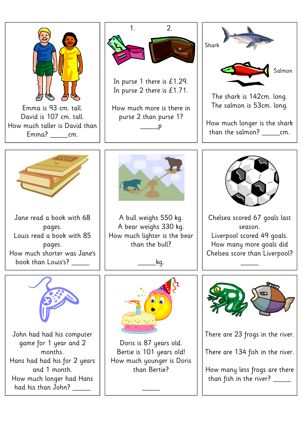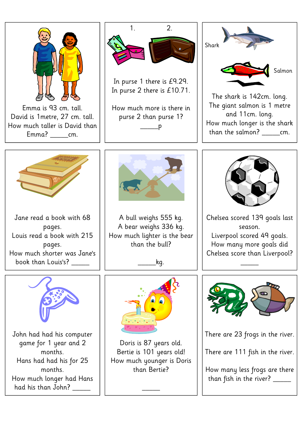